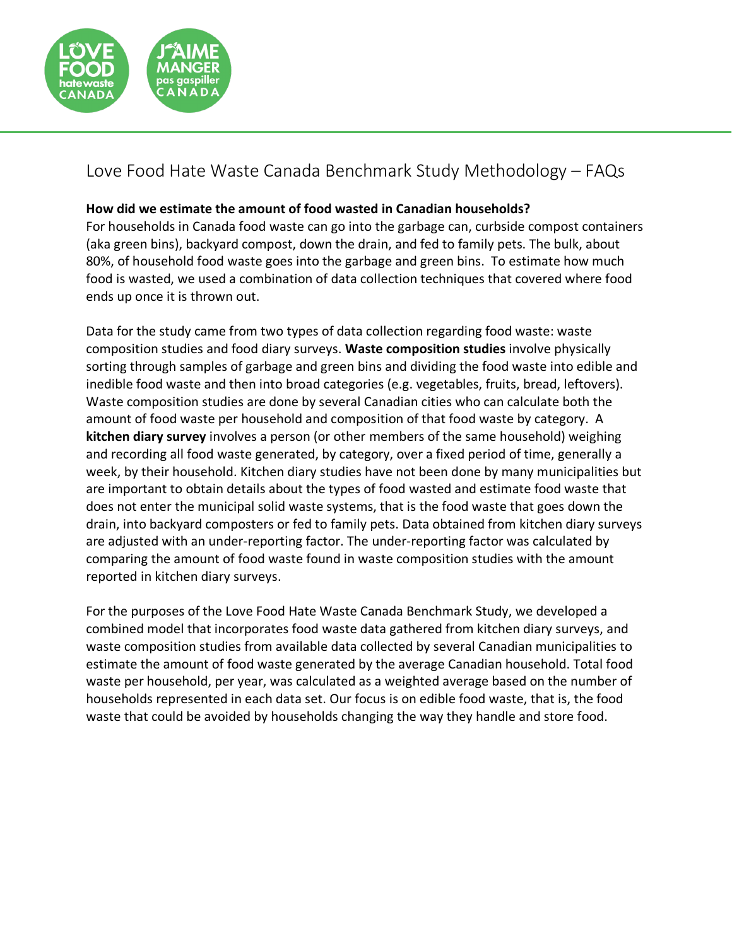

## Love Food Hate Waste Canada Benchmark Study Methodology – FAQs

## **How did we estimate the amount of food wasted in Canadian households?**

For households in Canada food waste can go into the garbage can, curbside compost containers (aka green bins), backyard compost, down the drain, and fed to family pets. The bulk, about 80%, of household food waste goes into the garbage and green bins. To estimate how much food is wasted, we used a combination of data collection techniques that covered where food ends up once it is thrown out.

Data for the study came from two types of data collection regarding food waste: waste composition studies and food diary surveys. **Waste composition studies** involve physically sorting through samples of garbage and green bins and dividing the food waste into edible and inedible food waste and then into broad categories (e.g. vegetables, fruits, bread, leftovers). Waste composition studies are done by several Canadian cities who can calculate both the amount of food waste per household and composition of that food waste by category. A **kitchen diary survey** involves a person (or other members of the same household) weighing and recording all food waste generated, by category, over a fixed period of time, generally a week, by their household. Kitchen diary studies have not been done by many municipalities but are important to obtain details about the types of food wasted and estimate food waste that does not enter the municipal solid waste systems, that is the food waste that goes down the drain, into backyard composters or fed to family pets. Data obtained from kitchen diary surveys are adjusted with an under-reporting factor. The under-reporting factor was calculated by comparing the amount of food waste found in waste composition studies with the amount reported in kitchen diary surveys.

For the purposes of the Love Food Hate Waste Canada Benchmark Study, we developed a combined model that incorporates food waste data gathered from kitchen diary surveys, and waste composition studies from available data collected by several Canadian municipalities to estimate the amount of food waste generated by the average Canadian household. Total food waste per household, per year, was calculated as a weighted average based on the number of households represented in each data set. Our focus is on edible food waste, that is, the food waste that could be avoided by households changing the way they handle and store food.